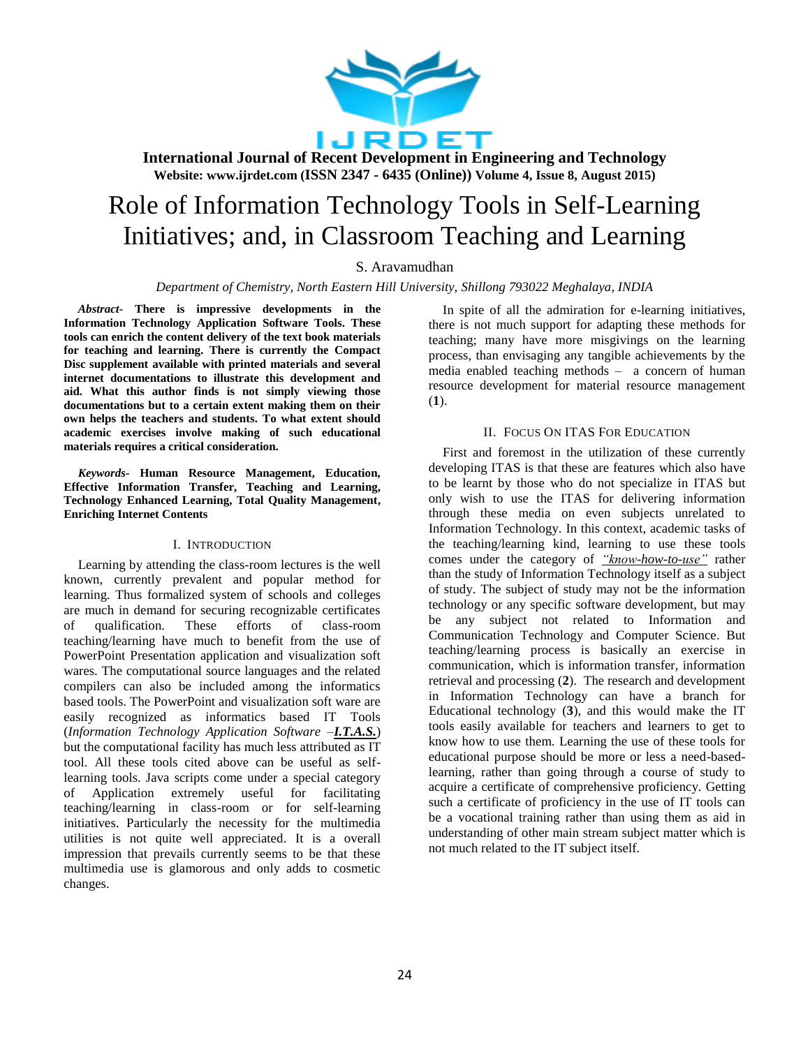

# Role of Information Technology Tools in Self-Learning Initiatives; and, in Classroom Teaching and Learning

S. Aravamudhan

*Department of Chemistry, North Eastern Hill University, Shillong 793022 Meghalaya, INDIA*

*Abstract-* **There is impressive developments in the Information Technology Application Software Tools. These tools can enrich the content delivery of the text book materials for teaching and learning. There is currently the Compact Disc supplement available with printed materials and several internet documentations to illustrate this development and aid. What this author finds is not simply viewing those documentations but to a certain extent making them on their own helps the teachers and students. To what extent should academic exercises involve making of such educational materials requires a critical consideration.**

*Keywords-* **Human Resource Management, Education, Effective Information Transfer, Teaching and Learning, Technology Enhanced Learning, Total Quality Management, Enriching Internet Contents**

#### I. INTRODUCTION

Learning by attending the class-room lectures is the well known, currently prevalent and popular method for learning. Thus formalized system of schools and colleges are much in demand for securing recognizable certificates of qualification. These efforts of class-room teaching/learning have much to benefit from the use of PowerPoint Presentation application and visualization soft wares. The computational source languages and the related compilers can also be included among the informatics based tools. The PowerPoint and visualization soft ware are easily recognized as informatics based IT Tools (*Information Technology Application Software –I.T.A.S.*) but the computational facility has much less attributed as IT tool. All these tools cited above can be useful as selflearning tools. Java scripts come under a special category of Application extremely useful for facilitating teaching/learning in class-room or for self-learning initiatives. Particularly the necessity for the multimedia utilities is not quite well appreciated. It is a overall impression that prevails currently seems to be that these multimedia use is glamorous and only adds to cosmetic changes.

In spite of all the admiration for e-learning initiatives, there is not much support for adapting these methods for teaching; many have more misgivings on the learning process, than envisaging any tangible achievements by the media enabled teaching methods – a concern of human resource development for material resource management (**1**).

#### II. FOCUS ON ITAS FOR EDUCATION

First and foremost in the utilization of these currently developing ITAS is that these are features which also have to be learnt by those who do not specialize in ITAS but only wish to use the ITAS for delivering information through these media on even subjects unrelated to Information Technology. In this context, academic tasks of the teaching/learning kind, learning to use these tools comes under the category of *"know-how-to-use"* rather than the study of Information Technology itself as a subject of study. The subject of study may not be the information technology or any specific software development, but may be any subject not related to Information and Communication Technology and Computer Science. But teaching/learning process is basically an exercise in communication, which is information transfer, information retrieval and processing (**2**). The research and development in Information Technology can have a branch for Educational technology (**3**), and this would make the IT tools easily available for teachers and learners to get to know how to use them. Learning the use of these tools for educational purpose should be more or less a need-basedlearning, rather than going through a course of study to acquire a certificate of comprehensive proficiency. Getting such a certificate of proficiency in the use of IT tools can be a vocational training rather than using them as aid in understanding of other main stream subject matter which is not much related to the IT subject itself.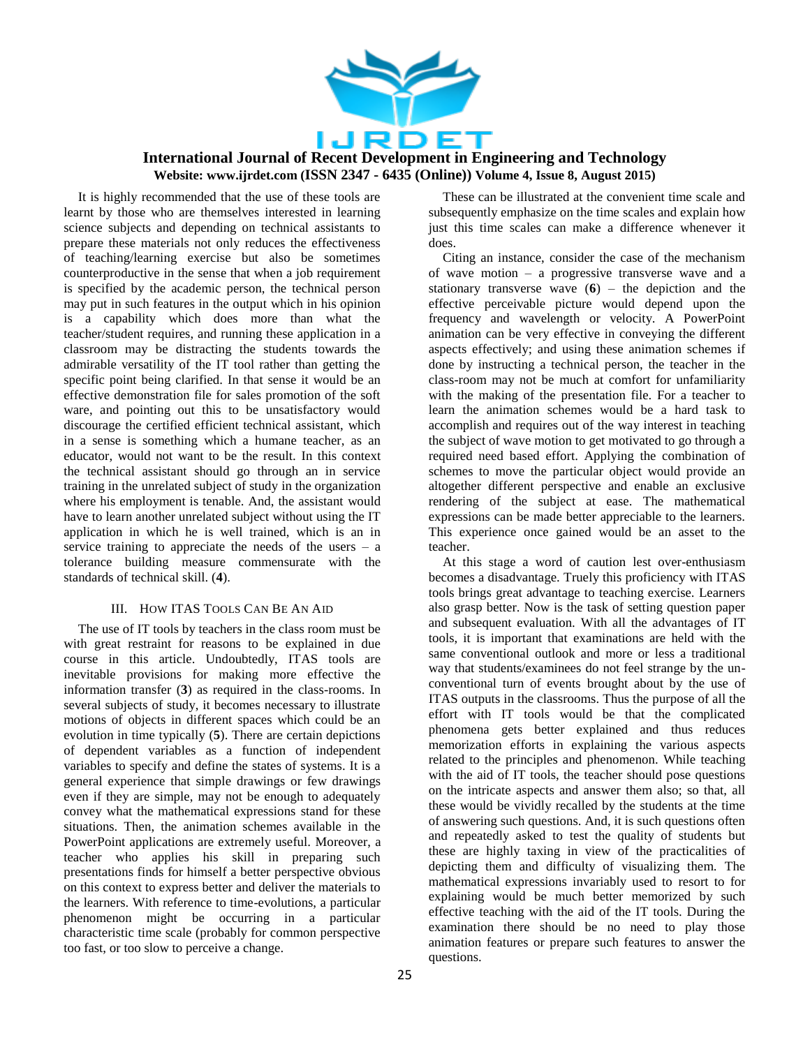

It is highly recommended that the use of these tools are learnt by those who are themselves interested in learning science subjects and depending on technical assistants to prepare these materials not only reduces the effectiveness of teaching/learning exercise but also be sometimes counterproductive in the sense that when a job requirement is specified by the academic person, the technical person may put in such features in the output which in his opinion is a capability which does more than what the teacher/student requires, and running these application in a classroom may be distracting the students towards the admirable versatility of the IT tool rather than getting the specific point being clarified. In that sense it would be an effective demonstration file for sales promotion of the soft ware, and pointing out this to be unsatisfactory would discourage the certified efficient technical assistant, which in a sense is something which a humane teacher, as an educator, would not want to be the result. In this context the technical assistant should go through an in service training in the unrelated subject of study in the organization where his employment is tenable. And, the assistant would have to learn another unrelated subject without using the IT application in which he is well trained, which is an in service training to appreciate the needs of the users  $-$  a tolerance building measure commensurate with the standards of technical skill. (**4**).

#### III. HOW ITAS TOOLS CAN BE AN AID

The use of IT tools by teachers in the class room must be with great restraint for reasons to be explained in due course in this article. Undoubtedly, ITAS tools are inevitable provisions for making more effective the information transfer (**3**) as required in the class-rooms. In several subjects of study, it becomes necessary to illustrate motions of objects in different spaces which could be an evolution in time typically (**5**). There are certain depictions of dependent variables as a function of independent variables to specify and define the states of systems. It is a general experience that simple drawings or few drawings even if they are simple, may not be enough to adequately convey what the mathematical expressions stand for these situations. Then, the animation schemes available in the PowerPoint applications are extremely useful. Moreover, a teacher who applies his skill in preparing such presentations finds for himself a better perspective obvious on this context to express better and deliver the materials to the learners. With reference to time-evolutions, a particular phenomenon might be occurring in a particular characteristic time scale (probably for common perspective too fast, or too slow to perceive a change.

These can be illustrated at the convenient time scale and subsequently emphasize on the time scales and explain how just this time scales can make a difference whenever it does.

Citing an instance, consider the case of the mechanism of wave motion – a progressive transverse wave and a stationary transverse wave  $(6)$  – the depiction and the effective perceivable picture would depend upon the frequency and wavelength or velocity. A PowerPoint animation can be very effective in conveying the different aspects effectively; and using these animation schemes if done by instructing a technical person, the teacher in the class-room may not be much at comfort for unfamiliarity with the making of the presentation file. For a teacher to learn the animation schemes would be a hard task to accomplish and requires out of the way interest in teaching the subject of wave motion to get motivated to go through a required need based effort. Applying the combination of schemes to move the particular object would provide an altogether different perspective and enable an exclusive rendering of the subject at ease. The mathematical expressions can be made better appreciable to the learners. This experience once gained would be an asset to the teacher.

At this stage a word of caution lest over-enthusiasm becomes a disadvantage. Truely this proficiency with ITAS tools brings great advantage to teaching exercise. Learners also grasp better. Now is the task of setting question paper and subsequent evaluation. With all the advantages of IT tools, it is important that examinations are held with the same conventional outlook and more or less a traditional way that students/examinees do not feel strange by the unconventional turn of events brought about by the use of ITAS outputs in the classrooms. Thus the purpose of all the effort with IT tools would be that the complicated phenomena gets better explained and thus reduces memorization efforts in explaining the various aspects related to the principles and phenomenon. While teaching with the aid of IT tools, the teacher should pose questions on the intricate aspects and answer them also; so that, all these would be vividly recalled by the students at the time of answering such questions. And, it is such questions often and repeatedly asked to test the quality of students but these are highly taxing in view of the practicalities of depicting them and difficulty of visualizing them. The mathematical expressions invariably used to resort to for explaining would be much better memorized by such effective teaching with the aid of the IT tools. During the examination there should be no need to play those animation features or prepare such features to answer the questions.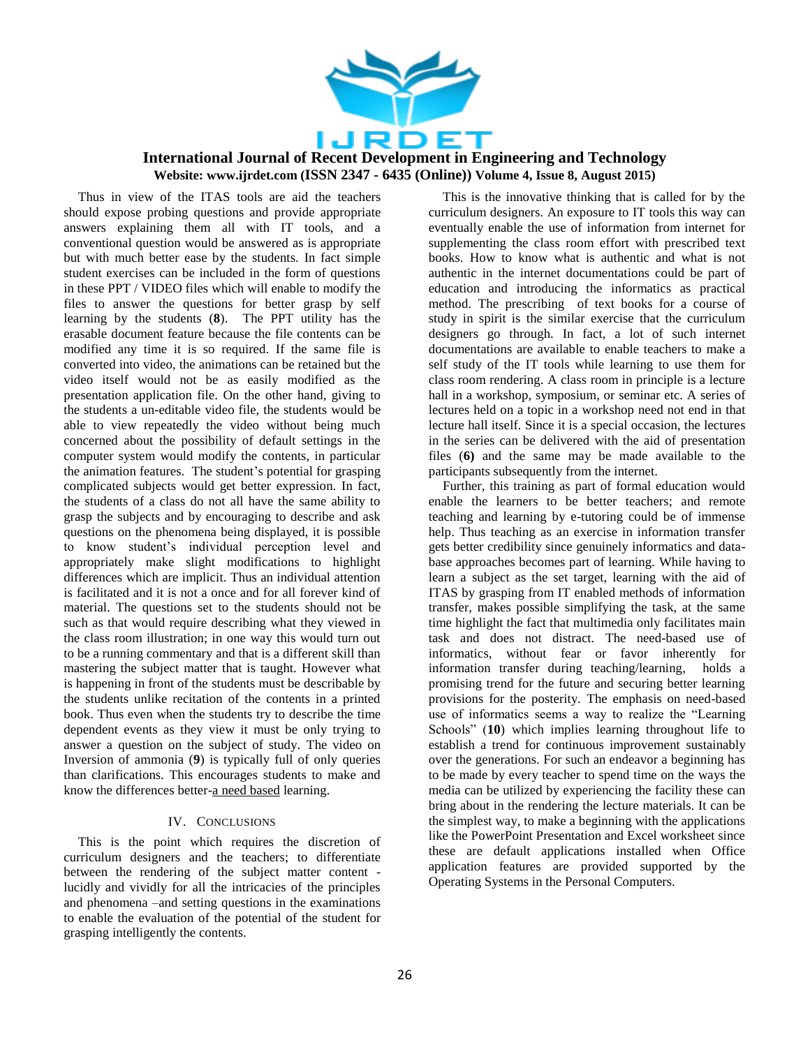

Thus in view of the ITAS tools are aid the teachers should expose probing questions and provide appropriate answers explaining them all with IT tools, and a conventional question would be answered as is appropriate but with much better ease by the students. In fact simple student exercises can be included in the form of questions in these PPT / VIDEO files which will enable to modify the files to answer the questions for better grasp by self learning by the students (**8**). The PPT utility has the erasable document feature because the file contents can be modified any time it is so required. If the same file is converted into video, the animations can be retained but the video itself would not be as easily modified as the presentation application file. On the other hand, giving to the students a un-editable video file, the students would be able to view repeatedly the video without being much concerned about the possibility of default settings in the computer system would modify the contents, in particular the animation features. The student's potential for grasping complicated subjects would get better expression. In fact, the students of a class do not all have the same ability to grasp the subjects and by encouraging to describe and ask questions on the phenomena being displayed, it is possible to know student's individual perception level and appropriately make slight modifications to highlight differences which are implicit. Thus an individual attention is facilitated and it is not a once and for all forever kind of material. The questions set to the students should not be such as that would require describing what they viewed in the class room illustration; in one way this would turn out to be a running commentary and that is a different skill than mastering the subject matter that is taught. However what is happening in front of the students must be describable by the students unlike recitation of the contents in a printed book. Thus even when the students try to describe the time dependent events as they view it must be only trying to answer a question on the subject of study. The video on Inversion of ammonia (**9**) is typically full of only queries than clarifications. This encourages students to make and know the differences better-a need based learning.

#### IV. CONCLUSIONS

This is the point which requires the discretion of curriculum designers and the teachers; to differentiate between the rendering of the subject matter content lucidly and vividly for all the intricacies of the principles and phenomena –and setting questions in the examinations to enable the evaluation of the potential of the student for grasping intelligently the contents.

This is the innovative thinking that is called for by the curriculum designers. An exposure to IT tools this way can eventually enable the use of information from internet for supplementing the class room effort with prescribed text books. How to know what is authentic and what is not authentic in the internet documentations could be part of education and introducing the informatics as practical method. The prescribing of text books for a course of study in spirit is the similar exercise that the curriculum designers go through. In fact, a lot of such internet documentations are available to enable teachers to make a self study of the IT tools while learning to use them for class room rendering. A class room in principle is a lecture hall in a workshop, symposium, or seminar etc. A series of lectures held on a topic in a workshop need not end in that lecture hall itself. Since it is a special occasion, the lectures in the series can be delivered with the aid of presentation files (**6)** and the same may be made available to the participants subsequently from the internet.

Further, this training as part of formal education would enable the learners to be better teachers; and remote teaching and learning by e-tutoring could be of immense help. Thus teaching as an exercise in information transfer gets better credibility since genuinely informatics and database approaches becomes part of learning. While having to learn a subject as the set target, learning with the aid of ITAS by grasping from IT enabled methods of information transfer, makes possible simplifying the task, at the same time highlight the fact that multimedia only facilitates main task and does not distract. The need-based use of informatics, without fear or favor inherently for information transfer during teaching/learning, holds a promising trend for the future and securing better learning provisions for the posterity. The emphasis on need-based use of informatics seems a way to realize the "Learning Schools" (**10**) which implies learning throughout life to establish a trend for continuous improvement sustainably over the generations. For such an endeavor a beginning has to be made by every teacher to spend time on the ways the media can be utilized by experiencing the facility these can bring about in the rendering the lecture materials. It can be the simplest way, to make a beginning with the applications like the PowerPoint Presentation and Excel worksheet since these are default applications installed when Office application features are provided supported by the Operating Systems in the Personal Computers.